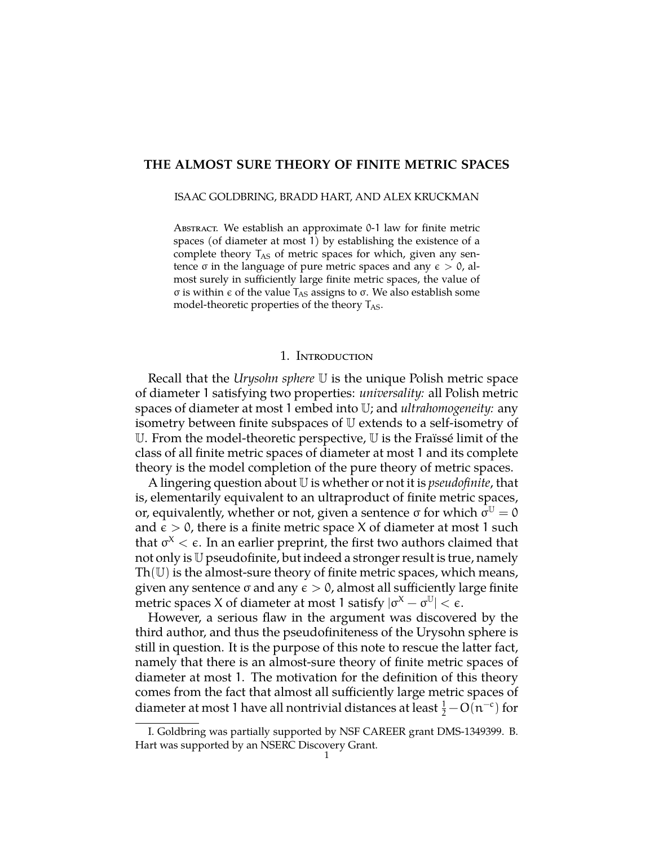# **THE ALMOST SURE THEORY OF FINITE METRIC SPACES**

#### ISAAC GOLDBRING, BRADD HART, AND ALEX KRUCKMAN

ABSTRACT. We establish an approximate  $0-1$  law for finite metric spaces (of diameter at most 1) by establishing the existence of a complete theory  $T_{AS}$  of metric spaces for which, given any sentence  $\sigma$  in the language of pure metric spaces and any  $\epsilon > 0$ , almost surely in sufficiently large finite metric spaces, the value of  $\sigma$  is within  $\epsilon$  of the value T<sub>AS</sub> assigns to  $\sigma$ . We also establish some model-theoretic properties of the theory  $T_{AS}$ .

#### 1. INTRODUCTION

Recall that the *Urysohn sphere* U is the unique Polish metric space of diameter 1 satisfying two properties: *universality:* all Polish metric spaces of diameter at most 1 embed into U; and *ultrahomogeneity:* any isometry between finite subspaces of U extends to a self-isometry of U. From the model-theoretic perspective, U is the Fraïssé limit of the class of all finite metric spaces of diameter at most 1 and its complete theory is the model completion of the pure theory of metric spaces.

A lingering question about U is whether or not it is *pseudofinite*, that is, elementarily equivalent to an ultraproduct of finite metric spaces, or, equivalently, whether or not, given a sentence  $\sigma$  for which  $\sigma^{\mathbb{U}} = 0$ and  $\epsilon > 0$ , there is a finite metric space X of diameter at most 1 such that  $\sigma^X < \epsilon$ . In an earlier preprint, the first two authors claimed that not only is U pseudofinite, but indeed a stronger result is true, namely  $Th(U)$  is the almost-sure theory of finite metric spaces, which means, given any sentence  $\sigma$  and any  $\epsilon > 0$ , almost all sufficiently large finite metric spaces X of diameter at most 1 satisfy  $|\sigma^X - \sigma^U| < \epsilon$ .

However, a serious flaw in the argument was discovered by the third author, and thus the pseudofiniteness of the Urysohn sphere is still in question. It is the purpose of this note to rescue the latter fact, namely that there is an almost-sure theory of finite metric spaces of diameter at most 1. The motivation for the definition of this theory comes from the fact that almost all sufficiently large metric spaces of diameter at most 1 have all nontrivial distances at least  $\frac{1}{2} - O(n^{-c})$  for

I. Goldbring was partially supported by NSF CAREER grant DMS-1349399. B. Hart was supported by an NSERC Discovery Grant.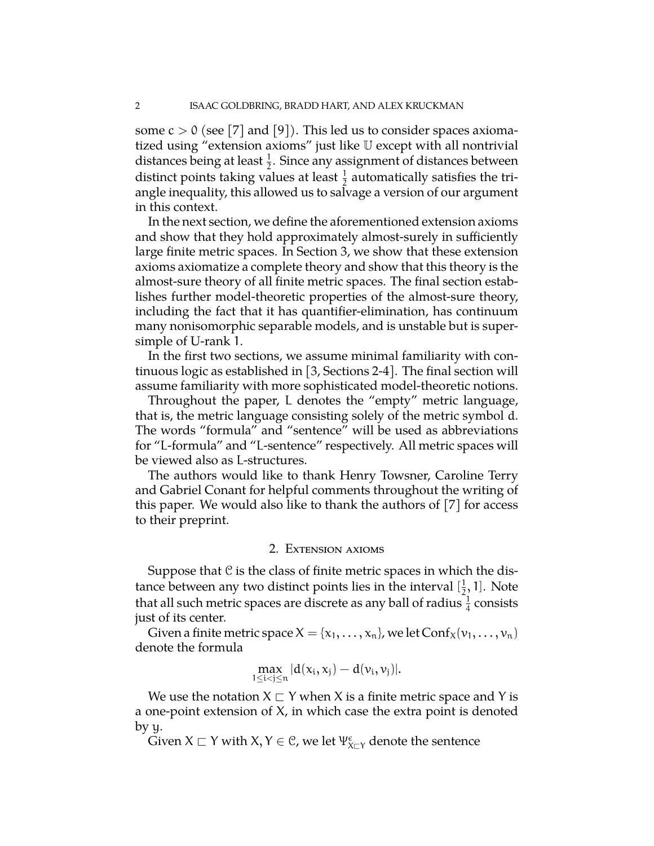some  $c > 0$  (see [7] and [9]). This led us to consider spaces axiomatized using "extension axioms" just like U except with all nontrivial distances being at least  $\frac{1}{2}$ . Since any assignment of distances between distinct points taking values at least  $\frac{1}{2}$  automatically satisfies the triangle inequality, this allowed us to salvage a version of our argument in this context.

In the next section, we define the aforementioned extension axioms and show that they hold approximately almost-surely in sufficiently large finite metric spaces. In Section 3, we show that these extension axioms axiomatize a complete theory and show that this theory is the almost-sure theory of all finite metric spaces. The final section establishes further model-theoretic properties of the almost-sure theory, including the fact that it has quantifier-elimination, has continuum many nonisomorphic separable models, and is unstable but is supersimple of U-rank 1.

In the first two sections, we assume minimal familiarity with continuous logic as established in [3, Sections 2-4]. The final section will assume familiarity with more sophisticated model-theoretic notions.

Throughout the paper, L denotes the "empty" metric language, that is, the metric language consisting solely of the metric symbol d. The words "formula" and "sentence" will be used as abbreviations for "L-formula" and "L-sentence" respectively. All metric spaces will be viewed also as L-structures.

The authors would like to thank Henry Towsner, Caroline Terry and Gabriel Conant for helpful comments throughout the writing of this paper. We would also like to thank the authors of [7] for access to their preprint.

# 2. EXTENSION AXIOMS

Suppose that  $C$  is the class of finite metric spaces in which the distance between any two distinct points lies in the interval  $[\frac{1}{2}, 1]$ . Note that all such metric spaces are discrete as any ball of radius  $\frac{1}{4}$  consists just of its center.

Given a finite metric space  $X = \{x_1, \ldots, x_n\}$ , we let  $Conf_X(v_1, \ldots, v_n)$ denote the formula

$$
\max_{1\leq i < j \leq n} |d(x_i,x_j)-d(\nu_i,\nu_j)|.
$$

We use the notation  $X \sqsubset Y$  when X is a finite metric space and Y is a one-point extension of X, in which case the extra point is denoted by y.

Given  $X \sqsubset Y$  with  $X, Y \in C$ , we let  $\Psi_{X \sqsubset Y}^{\epsilon}$  denote the sentence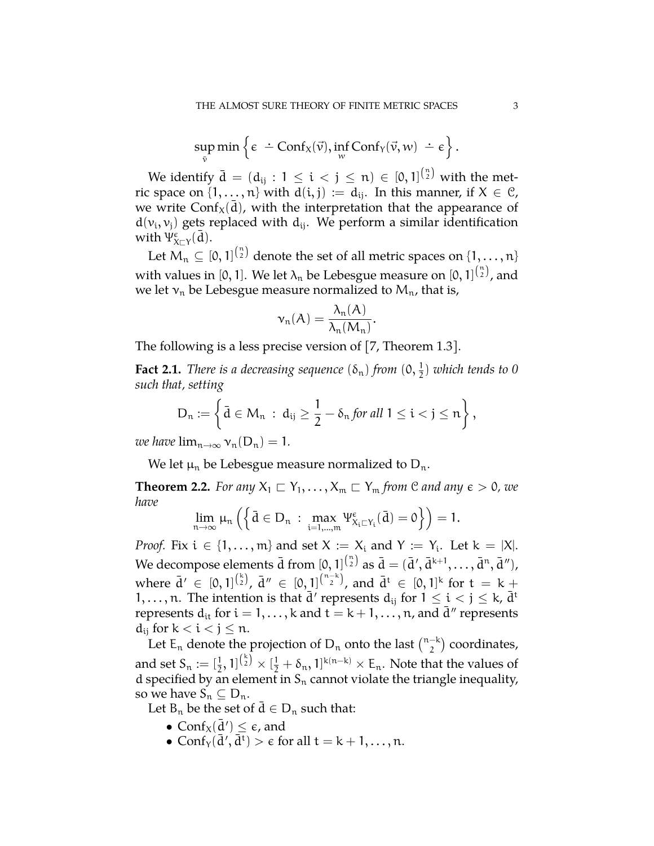$$
\sup_{\overline{v}} \min \left\{ \varepsilon \; \div \; \text{Conf}_X(\overrightarrow{v}), \inf_{w} \text{Conf}_Y(\overrightarrow{v}, w) \; \div \; \varepsilon \right\}.
$$

We identify  $\bar{d} = (d_{ij} : 1 \leq i < j \leq n) \in [0, 1]^{n \choose 2}$  with the metric space on  $\{1, \ldots, n\}$  with  $d(i, j) := d_{ij}$ . In this manner, if  $X \in \mathcal{C}$ , we write Conf<sub>X</sub>( $\bar{d}$ ), with the interpretation that the appearance of  $d(v_i, v_j)$  gets replaced with  $d_{ij}$ . We perform a similar identification with  $\Psi_{X\sqsubset Y}^{\epsilon}(\bar{d})$ .

Let  $M_n \subseteq [0,1]^{n \choose 2}$  denote the set of all metric spaces on  $\{1,\ldots,n\}$ with values in [0, 1]. We let  $\lambda_n$  be Lebesgue measure on [0, 1] $\binom{n}{2}$ , and we let  $v_n$  be Lebesgue measure normalized to  $M_n$ , that is,

$$
\nu_n(A) = \frac{\lambda_n(A)}{\lambda_n(M_n)}.
$$

The following is a less precise version of [7, Theorem 1.3].

**Fact 2.1.** *There is a decreasing sequence*  $(\delta_n)$  *from*  $(0, \frac{1}{2})$  *which tends to* 0 *such that, setting*

$$
D_n:=\left\{\bar{d}\in M_n\ :\ d_{ij}\ge \frac{1}{2}-\delta_n\text{ for all }1\le i< j\le n\right\},
$$

*we have*  $\lim_{n\to\infty} \nu_n(D_n) = 1$ .

We let  $\mu_n$  be Lebesgue measure normalized to  $D_n$ .

**Theorem 2.2.** *For any*  $X_1 \nightharpoonup Y_1, \ldots, X_m \nightharpoonup Y_m$  *from*  $\mathcal{C}$  *and any*  $\epsilon > 0$ *, we have*

$$
\lim_{n\to\infty}\mu_n\left(\left\{\bar{d}\in D_n\;:\;\max_{i=1,\ldots,m}\Psi_{X_i\sqsubset Y_i}^\varepsilon(\bar{d})=0\right\}\right)=1.
$$

*Proof.* Fix  $i \in \{1, ..., m\}$  and set  $X := X_i$  and  $Y := Y_i$ . Let  $k = |X|$ . We decompose elements  $\bar{\rm d}$  from  $[0,1]^{n\choose 2}$  as  $\bar{\rm d}=(\bar{\rm d}',\bar{\rm d}^{k+1},\ldots,\bar{\rm d}^n,\bar{\rm d}''),$ where  $\bar{d}' \in [0, 1]^{(\frac{k}{2})}$ ,  $\bar{d}'' \in [0, 1]^{(\frac{n-k}{2})}$ , and  $\bar{d}^t \in [0, 1]^k$  for  $t = k + 1$ 1,..., n. The intention is that  $\bar{d}'$  represents  $d_{ij}$  for  $1 \le i \le j \le k$ ,  $\bar{d}^t$ represents  $d_{it}$  for  $i = 1, ..., k$  and  $t = k + 1, ..., n$ , and  $\bar{d}''$  represents  $d_{ij}$  for  $k < i < j \leq n$ .

Let  $E_n$  denote the projection of  $D_n$  onto the last  $\binom{n-k}{2}$  coordinates, and set  $S_n := [\frac{1}{2}, 1]^{k \choose 2} \times [\frac{1}{2} + \delta_n, 1]^{k(n-k)} \times E_n$ . Note that the values of d specified by an element in  $S_n$  cannot violate the triangle inequality, so we have  $S_n \subseteq D_n$ .

Let  $B_n$  be the set of  $d \in D_n$  such that:

- $\text{Conf}_X(\bar{d}') \leq \epsilon$ , and
- $\text{Conf}_{\text{Y}}(\bar{\text{d}}', \bar{\text{d}}^{\text{t}}) > \epsilon \text{ for all } t = k+1, \ldots, n.$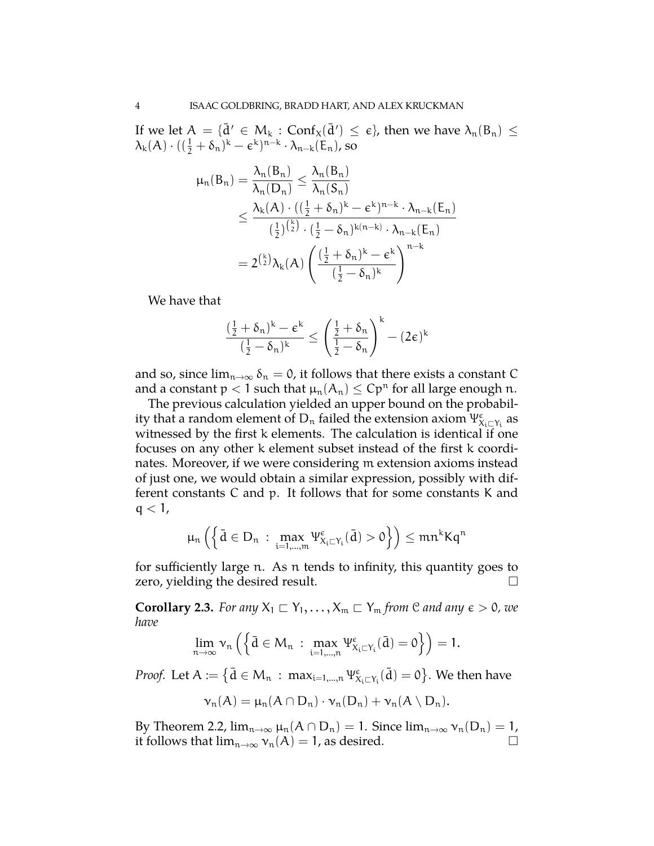If we let  $A = {\{\bar{d}' \in M_k : Conf_x(\bar{d}') \le \epsilon\}}$ , then we have  $\lambda_n(B_n) \le$  $\lambda_k(A) \cdot ((\frac{1}{2} + \delta_n)^k - \epsilon^k)^{n-k} \cdot \lambda_{n-k}(E_n)$ , so

$$
\mu_n(B_n) = \frac{\lambda_n(B_n)}{\lambda_n(D_n)} \le \frac{\lambda_n(B_n)}{\lambda_n(S_n)}
$$
  

$$
\le \frac{\lambda_k(A) \cdot ((\frac{1}{2} + \delta_n)^k - \varepsilon^k)^{n-k} \cdot \lambda_{n-k}(E_n)}{(\frac{1}{2})^{\binom{k}{2}} \cdot (\frac{1}{2} - \delta_n)^{k(n-k)} \cdot \lambda_{n-k}(E_n)}
$$
  

$$
= 2^{\binom{k}{2}} \lambda_k(A) \left( \frac{(\frac{1}{2} + \delta_n)^k - \varepsilon^k}{(\frac{1}{2} - \delta_n)^k} \right)^{n-k}
$$

We have that

$$
\frac{(\frac{1}{2} + \delta_n)^k - \varepsilon^k}{(\frac{1}{2} - \delta_n)^k} \le \left(\frac{\frac{1}{2} + \delta_n}{\frac{1}{2} - \delta_n}\right)^k - (2\varepsilon)^k
$$

and so, since  $\lim_{n\to\infty} \delta_n = 0$ , it follows that there exists a constant C and a constant  $p < 1$  such that  $\mu_n(A_n) \leq Cp^n$  for all large enough n.

The previous calculation yielded an upper bound on the probability that a random element of  $\mathsf{D}_\mathfrak{n}$  failed the extension axiom  $\Psi_{X_i \sqsubset Y_i}^\epsilon$  as witnessed by the first k elements. The calculation is identical if one focuses on any other k element subset instead of the first k coordinates. Moreover, if we were considering m extension axioms instead of just one, we would obtain a similar expression, possibly with different constants C and p. It follows that for some constants K and  $q < 1$ ,

$$
\mu_n\left(\left\{\bar{d}\in D_n\,:\, \max_{i=1,\ldots,m}\Psi_{X_i\sqsubset Y_i}^\varepsilon(\bar{d})>0\right\}\right)\leq mn^kKq^n
$$

for sufficiently large n. As n tends to infinity, this quantity goes to zero, yielding the desired result.  $\Box$ 

**Corollary 2.3.** *For any*  $X_1 \sqsubset Y_1, \ldots, X_m \sqsubset Y_m$  *from*  $\mathcal{C}$  *and any*  $\epsilon > 0$ *, we have*

$$
\lim_{n\to\infty}\nu_n\left(\left\{\bar{d}\in M_n\;:\;\max_{i=1,\ldots,n}\Psi_{X_i\sqsubset Y_i}^\varepsilon(\bar{d})=0\right\}\right)=1.
$$

*Proof.* Let  $A := \{ \bar{d} \in M_n : \max_{i=1,\dots,n} \Psi_{X_i \sqsubset Y_i}^{\epsilon}(\bar{d}) = 0 \}$ . We then have

$$
\nu_n(A) = \mu_n(A \cap D_n) \cdot \nu_n(D_n) + \nu_n(A \setminus D_n).
$$

By Theorem 2.2,  $\lim_{n\to\infty} \mu_n(A \cap D_n) = 1$ . Since  $\lim_{n\to\infty} \nu_n(D_n) = 1$ , it follows that  $\lim_{n\to\infty} \nu_n(A) = 1$ , as desired.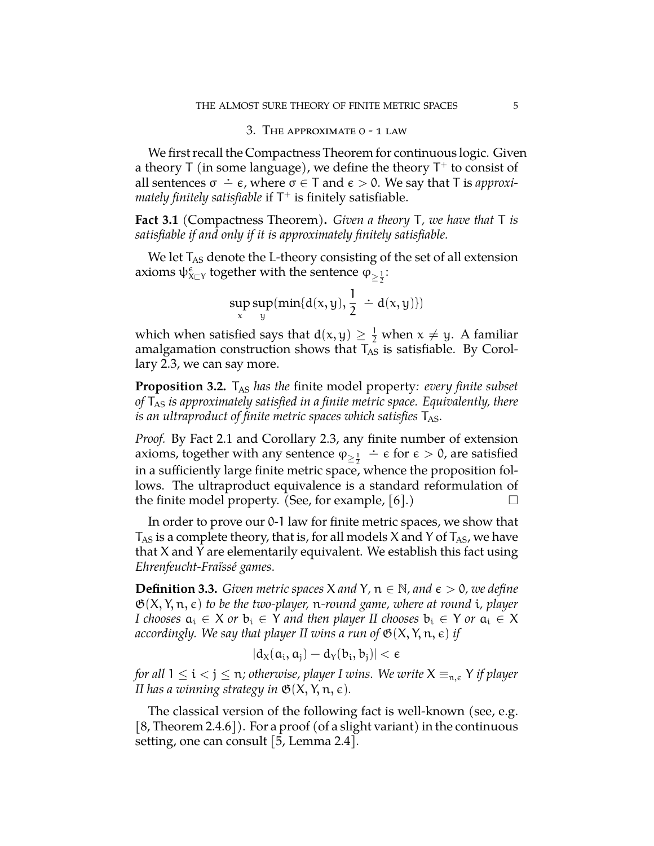# 3. THE APPROXIMATE O - 1 LAW

We first recall the Compactness Theorem for continuous logic. Given a theory T (in some language), we define the theory  $T^+$  to consist of all sentences  $\sigma \doteq \epsilon$ , where  $\sigma \in T$  and  $\epsilon > 0$ . We say that T is *approximately finitely satisfiable* if  $T^+$  is finitely satisfiable.

**Fact 3.1** (Compactness Theorem)**.** *Given a theory* T*, we have that* T *is satisfiable if and only if it is approximately finitely satisfiable.*

We let  $T_{AS}$  denote the L-theory consisting of the set of all extension axioms  $\psi_{X\sqsubset Y}^\varepsilon$  together with the sentence  $\varphi_{\geq \frac{1}{2}}$ :

$$
\sup_{x} \sup_{y} (\min \{d(x,y), \frac{1}{2} \div d(x,y)\})
$$

which when satisfied says that  $d(x, y) \geq \frac{1}{2}$  when  $x \neq y$ . A familiar amalgamation construction shows that  $T_{AS}$  is satisfiable. By Corollary 2.3, we can say more.

**Proposition 3.2.** T<sub>AS</sub> has the finite model property: every finite subset *of* TAS *is approximately satisfied in a finite metric space. Equivalently, there is an ultraproduct of finite metric spaces which satisfies*  $T_{AS}$ *.* 

*Proof.* By Fact 2.1 and Corollary 2.3, any finite number of extension axioms, together with any sentence  $\varphi_{\geq \frac{1}{2}}$  $\div \epsilon$  for  $\epsilon > 0$ , are satisfied in a sufficiently large finite metric space, whence the proposition follows. The ultraproduct equivalence is a standard reformulation of the finite model property. (See, for example,  $|6|$ .)

In order to prove our 0-1 law for finite metric spaces, we show that  $T_{AS}$  is a complete theory, that is, for all models X and Y of  $T_{AS}$ , we have that X and Y are elementarily equivalent. We establish this fact using *Ehrenfeucht-Fraïssé games*.

**Definition 3.3.** *Given metric spaces* X *and* Y,  $n \in \mathbb{N}$ *, and*  $\epsilon > 0$ *, we define* G(X, Y, n, ✏) *to be the two-player,* n*-round game, where at round* i*, player I* chooses  $a_i \in X$  *or*  $b_i \in Y$  *and then player II chooses*  $b_i \in Y$  *or*  $a_i \in X$ *accordingly. We say that player II wins a run of*  $\mathfrak{G}(X, Y, n, \epsilon)$  *if* 

$$
|d_X(a_i,a_j)-d_Y(b_i,b_j)|<\varepsilon
$$

*for all*  $1 \le i < j \le n$ ; otherwise, player I wins. We write  $X \equiv_{n,\varepsilon} Y$  *if player II has a winning strategy in*  $\mathfrak{G}(X, Y, n, \epsilon)$ *.* 

The classical version of the following fact is well-known (see, e.g.  $[8,$  Theorem 2.4.6]). For a proof (of a slight variant) in the continuous setting, one can consult [5, Lemma 2.4].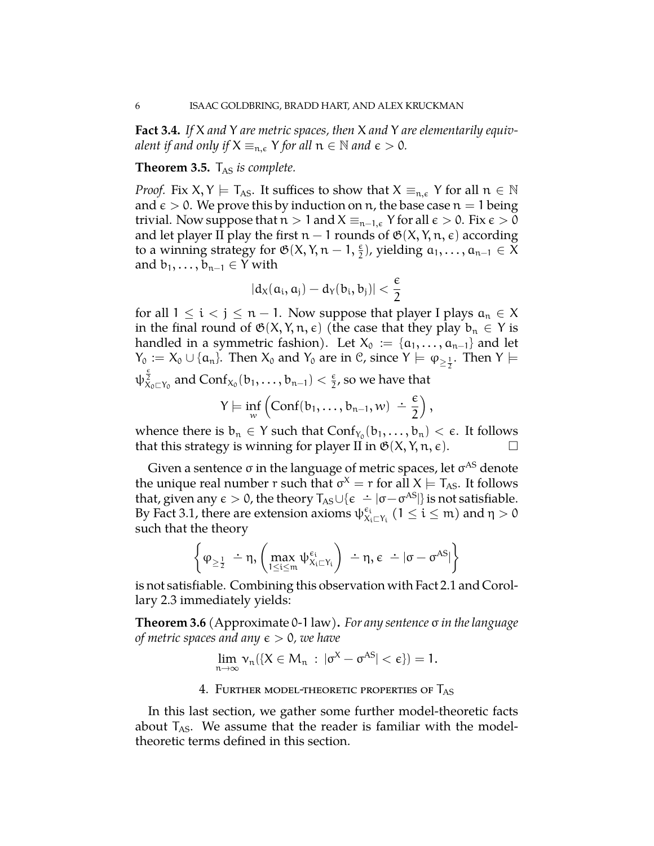**Fact 3.4.** *If* X *and* Y *are metric spaces, then* X *and* Y *are elementarily equivalent if and only if*  $X \equiv_{n,\varepsilon} Y$  *for all*  $n \in \mathbb{N}$  *and*  $\varepsilon > 0$ *.* 

### **Theorem 3.5.** T<sub>AS</sub> is complete.

*Proof.* Fix  $X, Y \models T_{AS}$ . It suffices to show that  $X \equiv_{n,\epsilon} Y$  for all  $n \in \mathbb{N}$ and  $\epsilon > 0$ . We prove this by induction on n, the base case  $n = 1$  being trivial. Now suppose that  $n>1$  and  $X \equiv_{n-1,\varepsilon} Y$  for all  $\varepsilon > 0$ . Fix  $\varepsilon > 0$ and let player II play the first  $n-1$  rounds of  $\mathfrak{G}(X, Y, n, \epsilon)$  according to a winning strategy for  $\mathfrak{G}(X, Y, n-1, \frac{\epsilon}{2})$ , yielding  $a_1, \ldots, a_{n-1} \in \overline{X}$ and  $b_1, \ldots, b_{n-1} \in Y$  with

$$
|d_X(a_i,a_j)-d_Y(b_i,b_j)|<\frac{\varepsilon}{2}
$$

for all  $1 \le i < j \le n - 1$ . Now suppose that player I plays  $a_n \in X$ in the final round of  $\mathfrak{G}(X, Y, n, \epsilon)$  (the case that they play  $b_n \in Y$  is handled in a symmetric fashion). Let  $X_0 := \{a_1, \ldots, a_{n-1}\}\$  and let  $Y_0 := X_0 \cup \{\alpha_n\}$ . Then  $X_0$  and  $Y_0$  are in  $\mathcal{C}$ , since  $Y \models \varphi_{\geq \frac{1}{2}}$ . Then  $Y \models$  $\psi_{X_0 \sqsubset Y_0}^{\frac{\varepsilon}{2}}$  and  $\text{Conf}_{X_0} (b_1, \ldots, b_{n-1}) < \frac{\varepsilon}{2}$ , so we have that  $Y \models \inf_w$  $\left(\text{Conf}(b_1,\ldots,b_{n-1},w) \right) \doteq \frac{\epsilon}{2}$ 2  $\big),$ 

whence there is  $b_n \in Y$  such that  $Conf_{Y_0}(b_1,...,b_n) < \epsilon$ . It follows that this strategy is winning for player II in  $\mathfrak{G}(X, Y, n, \epsilon)$ .

Given a sentence  $\sigma$  in the language of metric spaces, let  $\sigma^{AS}$  denote the unique real number r such that  $\sigma^X = r$  for all  $X \models T_{AS}$ . It follows that, given any  $\epsilon > 0$ , the theory  $T_{AS} \cup {\epsilon \div [\sigma - \sigma^{AS}]}$  is not satisfiable. By Fact 3.1, there are extension axioms  $\psi_{X_i \sqsubset Y_i}^{\epsilon_i}$  (1  $\leq$  i  $\leq$  m) and  $\eta > 0$ such that the theory

$$
\bigg\{ \phi_{\geq \frac{1}{2}} \ \dot{-} \eta, \left( \max_{1 \leq i \leq m} \psi_{X_i \sqsubset Y_i}^{\varepsilon_i} \right) \ \dot{-} \eta, \varepsilon \ \dot{-} \left| \sigma - \sigma^{AS} \right| \bigg\}
$$

is not satisfiable. Combining this observation with Fact 2.1 and Corollary 2.3 immediately yields:

**Theorem 3.6** (Approximate 0-1 law)**.** *For any sentence in the language of metric spaces and any*  $\epsilon > 0$ *, we have* 

$$
\lim_{n\to\infty} \nu_n(\{X\in M_n\,:\,|\sigma^X-\sigma^{AS}|<\varepsilon\})=1.
$$

## 4. FURTHER MODEL-THEORETIC PROPERTIES OF  $T_{AS}$

In this last section, we gather some further model-theoretic facts about  $T_{AS}$ . We assume that the reader is familiar with the modeltheoretic terms defined in this section.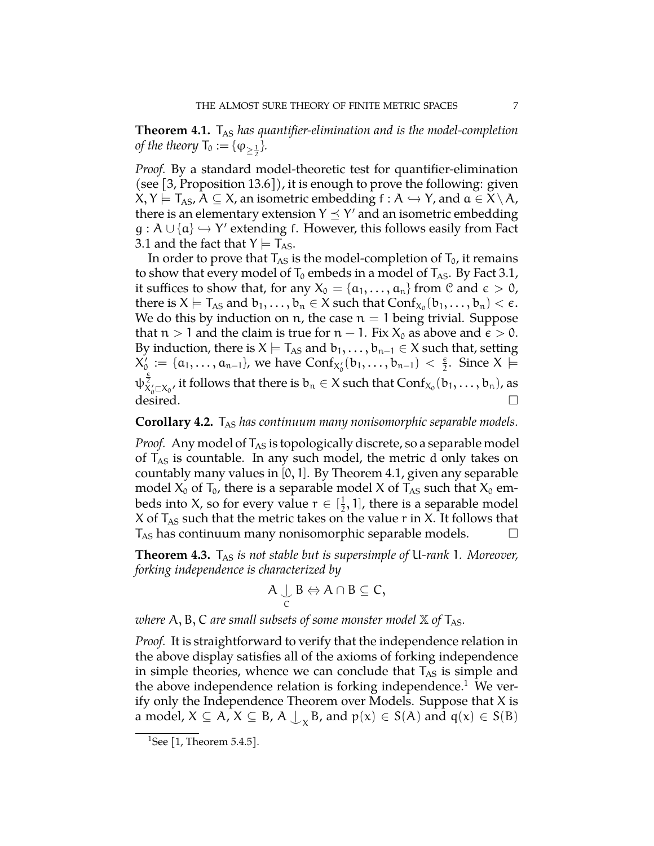**Theorem 4.1.** T<sub>AS</sub> has quantifier-elimination and is the model-completion *of the theory*  $T_0 := {\varphi_{\ge \frac{1}{2}}}$ .

*Proof.* By a standard model-theoretic test for quantifier-elimination (see [3, Proposition 13.6]), it is enough to prove the following: given  $X, Y \models T_{AS}, A \subseteq X$ , an isometric embedding  $f : A \hookrightarrow Y$ , and  $a \in X \setminus A$ , there is an elementary extension  $Y \leq Y'$  and an isometric embedding  $g : A \cup \{a\} \hookrightarrow Y'$  extending f. However, this follows easily from Fact 3.1 and the fact that  $Y \models T_{AS}$ .

In order to prove that  $T_{AS}$  is the model-completion of  $T_0$ , it remains to show that every model of  $T_0$  embeds in a model of  $T_{AS}$ . By Fact 3.1, it suffices to show that, for any  $X_0 = \{a_1, \ldots, a_n\}$  from C and  $\epsilon > 0$ , there is  $X \models T_{AS}$  and  $b_1,\ldots,b_n \in X$  such that  $Conf_{X_0}(b_1,\ldots,b_n) < \epsilon$ . We do this by induction on  $n$ , the case  $n = 1$  being trivial. Suppose that  $n>1$  and the claim is true for  $n-1$ . Fix  $X_0$  as above and  $\epsilon > 0$ . By induction, there is  $X \models T_{AS}$  and  $b_1, \ldots, b_{n-1} \in X$  such that, setting  $X_0' := \{a_1, \ldots, a_{n-1}\}\)$ , we have  $\text{Conf}_{X_0'}(b_1, \ldots, b_{n-1}) < \frac{\epsilon}{2}$ . Since  $X \models$  $\psi^{\frac{\epsilon}{2}}_{X'_0 \subset X_0}$ , it follows that there is  $b_n \in X$  such that  $Conf_{X_0}(b_1, \ldots, b_n)$ , as desired.  $\Box$ 

## **Corollary 4.2.** T<sub>AS</sub> has continuum many nonisomorphic separable models.

*Proof.* Any model of  $T_{AS}$  is topologically discrete, so a separable model of  $T_{AS}$  is countable. In any such model, the metric d only takes on countably many values in  $[0, 1]$ . By Theorem 4.1, given any separable model  $X_0$  of  $T_0$ , there is a separable model X of  $T_{AS}$  such that  $X_0$  embeds into X, so for every value  $r \in [\frac{1}{2}, 1]$ , there is a separable model X of  $T_{AS}$  such that the metric takes on the value r in X. It follows that  $T_{AS}$  has continuum many nonisomorphic separable models.  $\Box$ 

**Theorem 4.3.** T<sub>AS</sub> is not stable but is supersimple of U-rank 1. Moreover, *forking independence is characterized by*

$$
A \underset{C}{\cup} B \Leftrightarrow A \cap B \subseteq C,
$$

*where*  $A, B, C$  *are small subsets of some monster model*  $X$  *of*  $T_{AS}$ *.* 

*Proof.* It is straightforward to verify that the independence relation in the above display satisfies all of the axioms of forking independence in simple theories, whence we can conclude that  $T_{AS}$  is simple and the above independence relation is forking independence.<sup>1</sup> We verify only the Independence Theorem over Models. Suppose that  $X$  is a model,  $X \subseteq A$ ,  $X \subseteq B$ ,  $A \bigcup_{x} B$ , and  $p(x) \in S(A)$  and  $q(x) \in S(B)$ 

<sup>&</sup>lt;sup>1</sup>See [1, Theorem 5.4.5].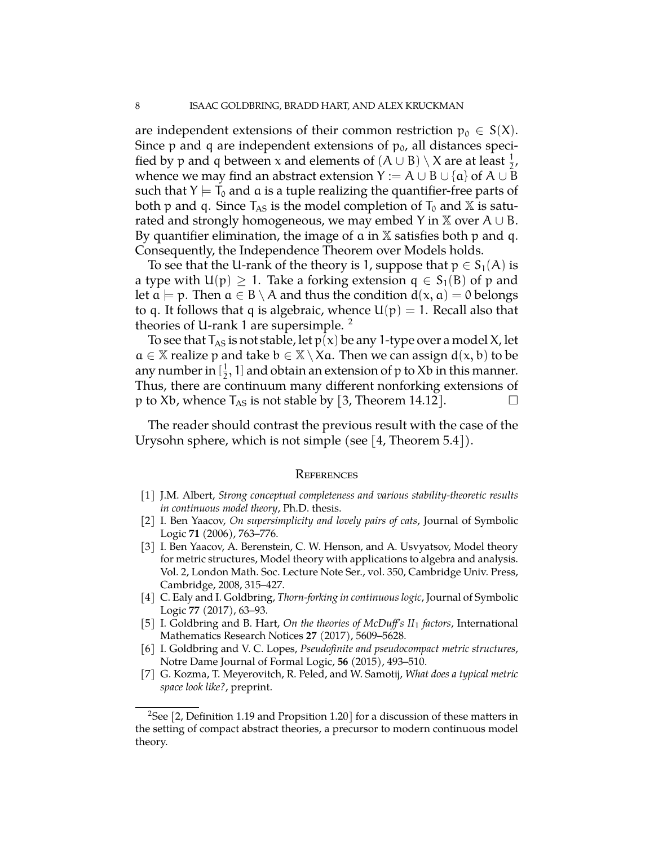are independent extensions of their common restriction  $p_0 \in S(X)$ . Since p and q are independent extensions of  $p_0$ , all distances specified by p and q between x and elements of  $(A \cup B) \setminus X$  are at least  $\frac{1}{2}$ , whence we may find an abstract extension  $Y := A \cup B \cup \{a\}$  of  $A \cup B$ such that  $Y \models T_0$  and a is a tuple realizing the quantifier-free parts of both p and q. Since  $T_{AS}$  is the model completion of  $T_0$  and X is saturated and strongly homogeneous, we may embed Y in  $\mathbb{X}$  over A  $\cup$  B. By quantifier elimination, the image of  $\alpha$  in  $X$  satisfies both  $p$  and  $q$ . Consequently, the Independence Theorem over Models holds.

To see that the U-rank of the theory is 1, suppose that  $p \in S_1(A)$  is a type with  $U(p) \ge 1$ . Take a forking extension  $q \in S_1(B)$  of p and let  $a \models p$ . Then  $a \in B \setminus A$  and thus the condition  $d(x, a) = 0$  belongs to q. It follows that q is algebraic, whence  $U(p) = 1$ . Recall also that theories of U-rank 1 are supersimple. <sup>2</sup>

To see that  $T_{AS}$  is not stable, let  $p(x)$  be any 1-type over a model X, let  $a \in \mathbb{X}$  realize p and take  $b \in \mathbb{X} \setminus X$ a. Then we can assign  $d(x, b)$  to be any number in  $[\frac{1}{2}, 1]$  and obtain an extension of p to Xb in this manner. Thus, there are continuum many different nonforking extensions of p to Xb, whence  $T_{AS}$  is not stable by [3, Theorem 14.12].  $\Box$ 

The reader should contrast the previous result with the case of the Urysohn sphere, which is not simple (see [4, Theorem 5.4]).

#### **REFERENCES**

- [1] J.M. Albert, *Strong conceptual completeness and various stability-theoretic results in continuous model theory*, Ph.D. thesis.
- [2] I. Ben Yaacov, *On supersimplicity and lovely pairs of cats*, Journal of Symbolic Logic **71** (2006), 763–776.
- [3] I. Ben Yaacov, A. Berenstein, C. W. Henson, and A. Usvyatsov, Model theory for metric structures, Model theory with applications to algebra and analysis. Vol. 2, London Math. Soc. Lecture Note Ser., vol. 350, Cambridge Univ. Press, Cambridge, 2008, 315–427.
- [4] C. Ealy and I. Goldbring, *Thorn-forking in continuous logic*, Journal of Symbolic Logic **77** (2017), 63–93.
- [5] I. Goldbring and B. Hart, *On the theories of McDu's II*<sup>1</sup> *factors*, International Mathematics Research Notices **27** (2017), 5609–5628.
- [6] I. Goldbring and V. C. Lopes, *Pseudofinite and pseudocompact metric structures*, Notre Dame Journal of Formal Logic, **56** (2015), 493–510.
- [7] G. Kozma, T. Meyerovitch, R. Peled, and W. Samotij, *What does a typical metric space look like?*, preprint.

<sup>&</sup>lt;sup>2</sup>See [2, Definition 1.19 and Propsition 1.20] for a discussion of these matters in the setting of compact abstract theories, a precursor to modern continuous model theory.